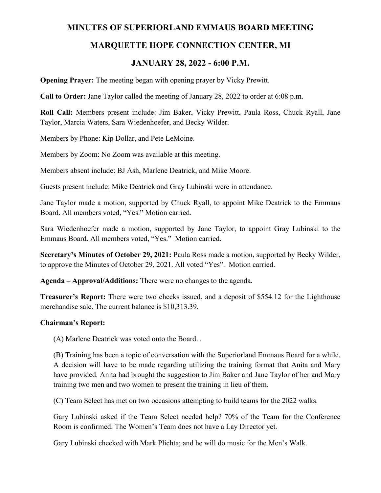## **MINUTES OF SUPERIORLAND EMMAUS BOARD MEETING**

# **MARQUETTE HOPE CONNECTION CENTER, MI**

# **JANUARY 28, 2022 - 6:00 P.M.**

**Opening Prayer:** The meeting began with opening prayer by Vicky Prewitt.

**Call to Order:** Jane Taylor called the meeting of January 28, 2022 to order at 6:08 p.m.

**Roll Call:** Members present include: Jim Baker, Vicky Prewitt, Paula Ross, Chuck Ryall, Jane Taylor, Marcia Waters, Sara Wiedenhoefer, and Becky Wilder.

Members by Phone: Kip Dollar, and Pete LeMoine.

Members by Zoom: No Zoom was available at this meeting.

Members absent include: BJ Ash, Marlene Deatrick, and Mike Moore.

Guests present include: Mike Deatrick and Gray Lubinski were in attendance.

Jane Taylor made a motion, supported by Chuck Ryall, to appoint Mike Deatrick to the Emmaus Board. All members voted, "Yes." Motion carried.

Sara Wiedenhoefer made a motion, supported by Jane Taylor, to appoint Gray Lubinski to the Emmaus Board. All members voted, "Yes." Motion carried.

**Secretary's Minutes of October 29, 2021:** Paula Ross made a motion, supported by Becky Wilder, to approve the Minutes of October 29, 2021. All voted "Yes". Motion carried.

**Agenda – Approval/Additions:** There were no changes to the agenda.

**Treasurer's Report:** There were two checks issued, and a deposit of \$554.12 for the Lighthouse merchandise sale. The current balance is \$10,313.39.

#### **Chairman's Report:**

(A) Marlene Deatrick was voted onto the Board. .

(B) Training has been a topic of conversation with the Superiorland Emmaus Board for a while. A decision will have to be made regarding utilizing the training format that Anita and Mary have provided. Anita had brought the suggestion to Jim Baker and Jane Taylor of her and Mary training two men and two women to present the training in lieu of them.

(C) Team Select has met on two occasions attempting to build teams for the 2022 walks.

Gary Lubinski asked if the Team Select needed help? 70% of the Team for the Conference Room is confirmed. The Women's Team does not have a Lay Director yet.

Gary Lubinski checked with Mark Plichta; and he will do music for the Men's Walk.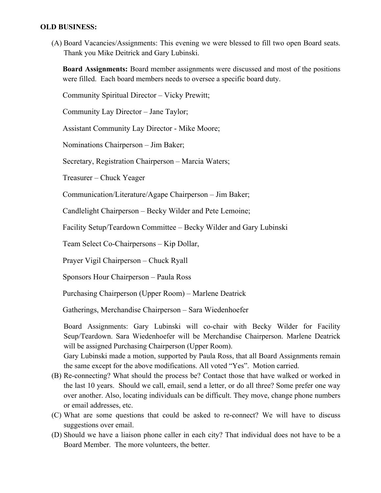### **OLD BUSINESS:**

(A) Board Vacancies/Assignments: This evening we were blessed to fill two open Board seats. Thank you Mike Deitrick and Gary Lubinski.

**Board Assignments:** Board member assignments were discussed and most of the positions were filled. Each board members needs to oversee a specific board duty.

Community Spiritual Director – Vicky Prewitt;

Community Lay Director – Jane Taylor;

Assistant Community Lay Director - Mike Moore;

Nominations Chairperson – Jim Baker;

Secretary, Registration Chairperson – Marcia Waters;

Treasurer – Chuck Yeager

Communication/Literature/Agape Chairperson – Jim Baker;

Candlelight Chairperson – Becky Wilder and Pete Lemoine;

Facility Setup/Teardown Committee – Becky Wilder and Gary Lubinski

Team Select Co-Chairpersons – Kip Dollar,

Prayer Vigil Chairperson – Chuck Ryall

Sponsors Hour Chairperson – Paula Ross

Purchasing Chairperson (Upper Room) – Marlene Deatrick

Gatherings, Merchandise Chairperson – Sara Wiedenhoefer

Board Assignments: Gary Lubinski will co-chair with Becky Wilder for Facility Seup/Teardown. Sara Wiedenhoefer will be Merchandise Chairperson. Marlene Deatrick will be assigned Purchasing Chairperson (Upper Room).

Gary Lubinski made a motion, supported by Paula Ross, that all Board Assignments remain the same except for the above modifications. All voted "Yes". Motion carried.

- (B) Re-connecting? What should the process be? Contact those that have walked or worked in the last 10 years. Should we call, email, send a letter, or do all three? Some prefer one way over another. Also, locating individuals can be difficult. They move, change phone numbers or email addresses, etc.
- (C) What are some questions that could be asked to re-connect? We will have to discuss suggestions over email.
- (D) Should we have a liaison phone caller in each city? That individual does not have to be a Board Member. The more volunteers, the better.